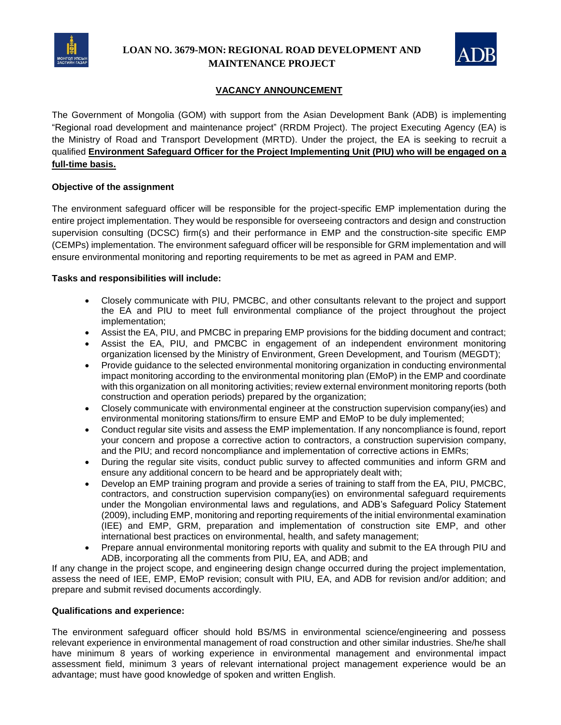

**LOAN NO. 3679-MON: REGIONAL ROAD DEVELOPMENT AND MAINTENANCE PROJECT**



## **VACANCY ANNOUNCEMENT**

The Government of Mongolia (GOM) with support from the Asian Development Bank (ADB) is implementing "Regional road development and maintenance project" (RRDM Project). The project Executing Agency (EA) is the Ministry of Road and Transport Development (MRTD). Under the project, the EA is seeking to recruit a qualified **Environment Safeguard Officer for the Project Implementing Unit (PIU) who will be engaged on a full-time basis.**

### **Objective of the assignment**

The environment safeguard officer will be responsible for the project-specific EMP implementation during the entire project implementation. They would be responsible for overseeing contractors and design and construction supervision consulting (DCSC) firm(s) and their performance in EMP and the construction-site specific EMP (CEMPs) implementation. The environment safeguard officer will be responsible for GRM implementation and will ensure environmental monitoring and reporting requirements to be met as agreed in PAM and EMP.

### **Tasks and responsibilities will include:**

- Closely communicate with PIU, PMCBC, and other consultants relevant to the project and support the EA and PIU to meet full environmental compliance of the project throughout the project implementation;
- Assist the EA, PIU, and PMCBC in preparing EMP provisions for the bidding document and contract;
- Assist the EA, PIU, and PMCBC in engagement of an independent environment monitoring organization licensed by the Ministry of Environment, Green Development, and Tourism (MEGDT);
- Provide guidance to the selected environmental monitoring organization in conducting environmental impact monitoring according to the environmental monitoring plan (EMoP) in the EMP and coordinate with this organization on all monitoring activities; review external environment monitoring reports (both construction and operation periods) prepared by the organization;
- Closely communicate with environmental engineer at the construction supervision company(ies) and environmental monitoring stations/firm to ensure EMP and EMoP to be duly implemented;
- Conduct regular site visits and assess the EMP implementation. If any noncompliance is found, report your concern and propose a corrective action to contractors, a construction supervision company, and the PIU; and record noncompliance and implementation of corrective actions in EMRs;
- During the regular site visits, conduct public survey to affected communities and inform GRM and ensure any additional concern to be heard and be appropriately dealt with;
- Develop an EMP training program and provide a series of training to staff from the EA, PIU, PMCBC, contractors, and construction supervision company(ies) on environmental safeguard requirements under the Mongolian environmental laws and regulations, and ADB's Safeguard Policy Statement (2009), including EMP, monitoring and reporting requirements of the initial environmental examination (IEE) and EMP, GRM, preparation and implementation of construction site EMP, and other international best practices on environmental, health, and safety management;
- Prepare annual environmental monitoring reports with quality and submit to the EA through PIU and ADB, incorporating all the comments from PIU, EA, and ADB; and

If any change in the project scope, and engineering design change occurred during the project implementation, assess the need of IEE, EMP, EMoP revision; consult with PIU, EA, and ADB for revision and/or addition; and prepare and submit revised documents accordingly.

#### **Qualifications and experience:**

The environment safeguard officer should hold BS/MS in environmental science/engineering and possess relevant experience in environmental management of road construction and other similar industries. She/he shall have minimum 8 years of working experience in environmental management and environmental impact assessment field, minimum 3 years of relevant international project management experience would be an advantage; must have good knowledge of spoken and written English.